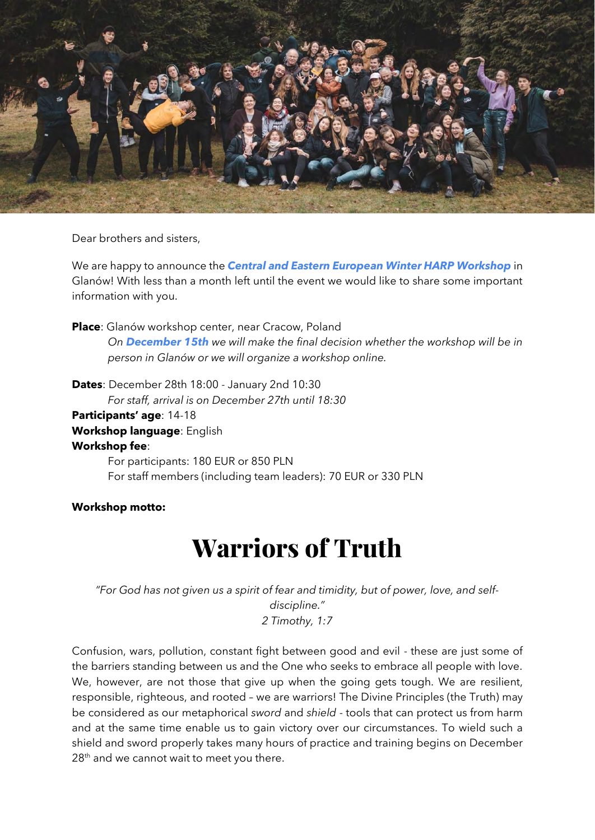

Dear brothers and sisters,

We are happy to announce the *Central and Eastern European Winter HARP Workshop* in Glanów! With less than a month left until the event we would like to share some important information with you.

**Place**: Glanów workshop center, near Cracow, Poland

*On December 15th we will make the final decision whether the workshop will be in person in Glanów or we will organize a workshop online.*

**Dates**: December 28th 18:00 - January 2nd 10:30 *For staff, arrival is on December 27th until 18:30* **Participants' age**: 14-18 **Workshop language**: English **Workshop fee**: For participants: 180 EUR or 850 PLN For staff members (including team leaders): 70 EUR or 330 PLN

**Workshop motto:**

# Warriors of Truth

*"For God has not given us a spirit of fear and timidity, but of power, love, and selfdiscipline." 2 Timothy, 1:7*

Confusion, wars, pollution, constant fight between good and evil - these are just some of the barriers standing between us and the One who seeks to embrace all people with love. We, however, are not those that give up when the going gets tough. We are resilient, responsible, righteous, and rooted – we are warriors! The Divine Principles (the Truth) may be considered as our metaphorical *sword* and *shield* - tools that can protect us from harm and at the same time enable us to gain victory over our circumstances. To wield such a shield and sword properly takes many hours of practice and training begins on December  $28<sup>th</sup>$  and we cannot wait to meet you there.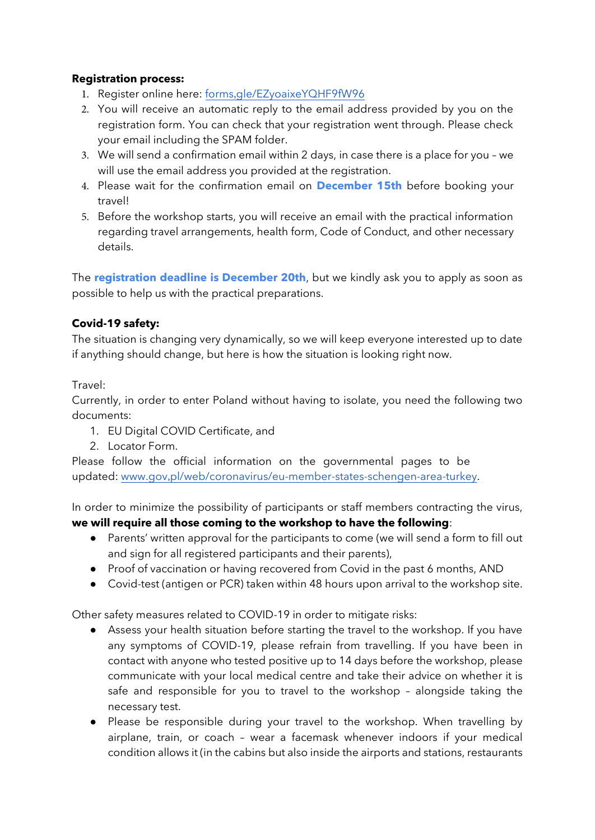#### **Registration process:**

- 1. Register online here: forms,gle/EZyoaixeYQHF9fW96
- 2. You will receive an automatic reply to the email address provided by you on the registration form. You can check that your registration went through. Please check your email including the SPAM folder.
- 3. We will send a confirmation email within 2 days, in case there is a place for you we will use the email address you provided at the registration.
- 4. Please wait for the confirmation email on **December 15th** before booking your travel!
- 5. Before the workshop starts, you will receive an email with the practical information regarding travel arrangements, health form, Code of Conduct, and other necessary details.

The **registration deadline is December 20th**, but we kindly ask you to apply as soon as possible to help us with the practical preparations.

## **Covid-19 safety:**

The situation is changing very dynamically, so we will keep everyone interested up to date if anything should change, but here is how the situation is looking right now.

## Travel:

Currently, in order to enter Poland without having to isolate, you need the following two documents:

- 1. EU Digital COVID Certificate, and
- 2. Locator Form.

Please follow the official information on the governmental pages to be updated: www.gov,pl/web/coronavirus/eu-member-states-schengen-area-turkey.

In order to minimize the possibility of participants or staff members contracting the virus, **we will require all those coming to the workshop to have the following**:

- Parents' written approval for the participants to come (we will send a form to fill out and sign for all registered participants and their parents),
- Proof of vaccination or having recovered from Covid in the past 6 months, AND
- Covid-test (antigen or PCR) taken within 48 hours upon arrival to the workshop site.

Other safety measures related to COVID-19 in order to mitigate risks:

- Assess your health situation before starting the travel to the workshop. If you have any symptoms of COVID-19, please refrain from travelling. If you have been in contact with anyone who tested positive up to 14 days before the workshop, please communicate with your local medical centre and take their advice on whether it is safe and responsible for you to travel to the workshop – alongside taking the necessary test.
- Please be responsible during your travel to the workshop. When travelling by airplane, train, or coach – wear a facemask whenever indoors if your medical condition allows it (in the cabins but also inside the airports and stations, restaurants